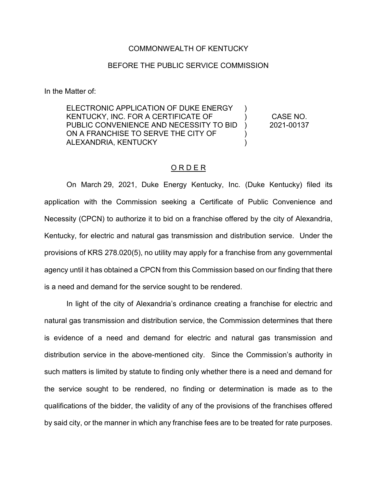## COMMONWEALTH OF KENTUCKY

## BEFORE THE PUBLIC SERVICE COMMISSION

In the Matter of:

ELECTRONIC APPLICATION OF DUKE ENERGY KENTUCKY, INC. FOR A CERTIFICATE OF PUBLIC CONVENIENCE AND NECESSITY TO BID ON A FRANCHISE TO SERVE THE CITY OF ALEXANDRIA, KENTUCKY ) )  $\lambda$ )  $\lambda$ CASE NO. 2021-00137

## O R D E R

On March 29, 2021, Duke Energy Kentucky, Inc. (Duke Kentucky) filed its application with the Commission seeking a Certificate of Public Convenience and Necessity (CPCN) to authorize it to bid on a franchise offered by the city of Alexandria, Kentucky, for electric and natural gas transmission and distribution service. Under the provisions of KRS 278.020(5), no utility may apply for a franchise from any governmental agency until it has obtained a CPCN from this Commission based on our finding that there is a need and demand for the service sought to be rendered.

In light of the city of Alexandria's ordinance creating a franchise for electric and natural gas transmission and distribution service, the Commission determines that there is evidence of a need and demand for electric and natural gas transmission and distribution service in the above-mentioned city. Since the Commission's authority in such matters is limited by statute to finding only whether there is a need and demand for the service sought to be rendered, no finding or determination is made as to the qualifications of the bidder, the validity of any of the provisions of the franchises offered by said city, or the manner in which any franchise fees are to be treated for rate purposes.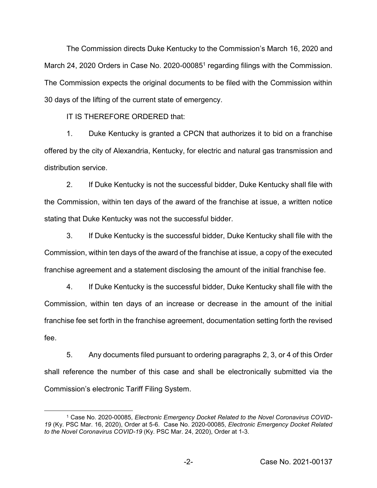The Commission directs Duke Kentucky to the Commission's March 16, 2020 and March 24, 2020 Orders in Case No. 2020-00085<sup>1</sup> regarding filings with the Commission. The Commission expects the original documents to be filed with the Commission within 30 days of the lifting of the current state of emergency.

IT IS THEREFORE ORDERED that:

1. Duke Kentucky is granted a CPCN that authorizes it to bid on a franchise offered by the city of Alexandria, Kentucky, for electric and natural gas transmission and distribution service.

2. If Duke Kentucky is not the successful bidder, Duke Kentucky shall file with the Commission, within ten days of the award of the franchise at issue, a written notice stating that Duke Kentucky was not the successful bidder.

3. If Duke Kentucky is the successful bidder, Duke Kentucky shall file with the Commission, within ten days of the award of the franchise at issue, a copy of the executed franchise agreement and a statement disclosing the amount of the initial franchise fee.

4. If Duke Kentucky is the successful bidder, Duke Kentucky shall file with the Commission, within ten days of an increase or decrease in the amount of the initial franchise fee set forth in the franchise agreement, documentation setting forth the revised fee.

5. Any documents filed pursuant to ordering paragraphs 2, 3, or 4 of this Order shall reference the number of this case and shall be electronically submitted via the Commission's electronic Tariff Filing System.

 <sup>1</sup> Case No. 2020-00085, *Electronic Emergency Docket Related to the Novel Coronavirus COVID-19* (Ky. PSC Mar. 16, 2020), Order at 5-6. Case No. 2020-00085, *Electronic Emergency Docket Related to the Novel Coronavirus COVID-19* (Ky. PSC Mar. 24, 2020), Order at 1-3.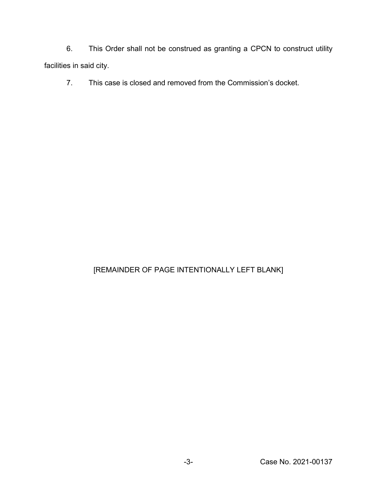6. This Order shall not be construed as granting a CPCN to construct utility facilities in said city.

7. This case is closed and removed from the Commission's docket.

## [REMAINDER OF PAGE INTENTIONALLY LEFT BLANK]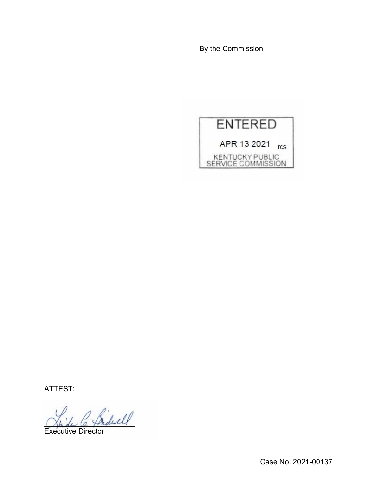By the Commission



ATTEST:

 $^{\prime}$  fridwell

Executive Director

Case No. 2021-00137